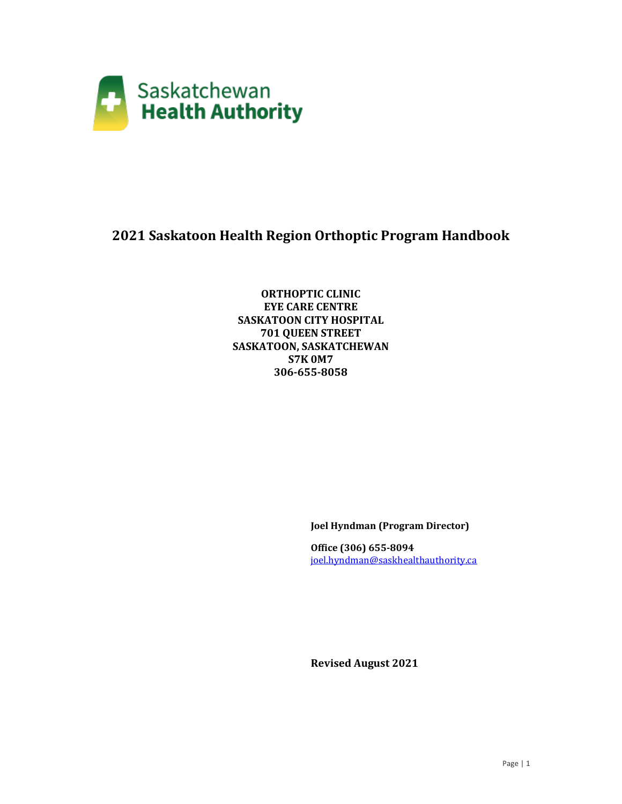

## **2021 Saskatoon Health Region Orthoptic Program Handbook**

**ORTHOPTIC CLINIC EYE CARE CENTRE SASKATOON CITY HOSPITAL 701 QUEEN STREET SASKATOON, SASKATCHEWAN S7K 0M7 306-655-8058**

**Joel Hyndman (Program Director)** 

**Office (306) 655-8094** [joel.hyndman@saskhealthauthority.ca](mailto:joel.hyndman@saskhealthauthority.ca)

**Revised August 2021**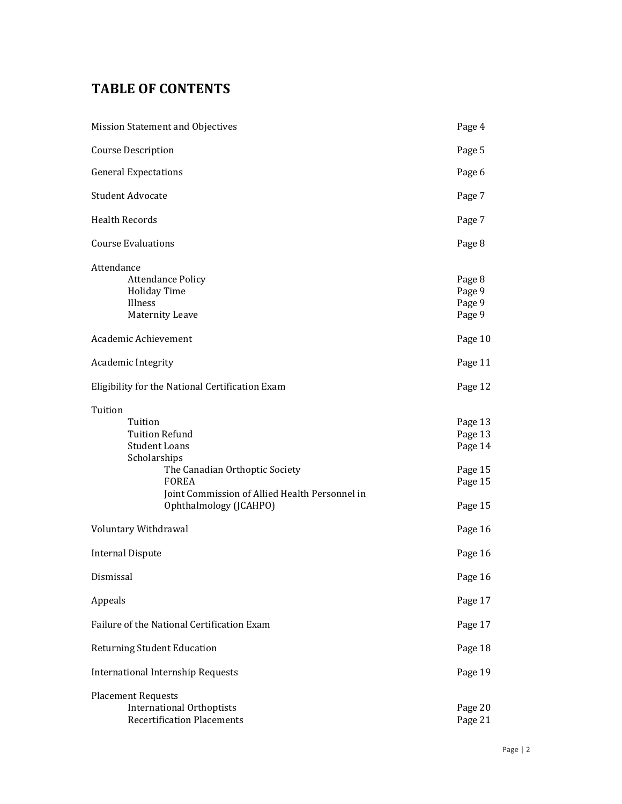# **TABLE OF CONTENTS**

| Mission Statement and Objectives                                                                                                                                                                                  | Page 4                                                         |
|-------------------------------------------------------------------------------------------------------------------------------------------------------------------------------------------------------------------|----------------------------------------------------------------|
| <b>Course Description</b>                                                                                                                                                                                         | Page 5                                                         |
| <b>General Expectations</b>                                                                                                                                                                                       | Page 6                                                         |
| <b>Student Advocate</b>                                                                                                                                                                                           | Page 7                                                         |
| <b>Health Records</b>                                                                                                                                                                                             | Page 7                                                         |
| <b>Course Evaluations</b>                                                                                                                                                                                         | Page 8                                                         |
| Attendance<br><b>Attendance Policy</b><br><b>Holiday Time</b><br>Illness<br><b>Maternity Leave</b><br>Academic Achievement                                                                                        | Page 8<br>Page 9<br>Page 9<br>Page 9<br>Page 10                |
| Academic Integrity                                                                                                                                                                                                | Page 11                                                        |
| Eligibility for the National Certification Exam                                                                                                                                                                   | Page 12                                                        |
| Tuition<br>Tuition<br><b>Tuition Refund</b><br><b>Student Loans</b><br>Scholarships<br>The Canadian Orthoptic Society<br><b>FOREA</b><br>Joint Commission of Allied Health Personnel in<br>Ophthalmology (JCAHPO) | Page 13<br>Page 13<br>Page 14<br>Page 15<br>Page 15<br>Page 15 |
| Voluntary Withdrawal                                                                                                                                                                                              | Page 16                                                        |
| <b>Internal Dispute</b>                                                                                                                                                                                           | Page 16                                                        |
| Dismissal                                                                                                                                                                                                         | Page 16                                                        |
| Appeals                                                                                                                                                                                                           | Page 17                                                        |
| Failure of the National Certification Exam                                                                                                                                                                        | Page 17                                                        |
| <b>Returning Student Education</b>                                                                                                                                                                                | Page 18                                                        |
| <b>International Internship Requests</b>                                                                                                                                                                          | Page 19                                                        |
| <b>Placement Requests</b><br><b>International Orthoptists</b><br><b>Recertification Placements</b>                                                                                                                | Page 20<br>Page 21                                             |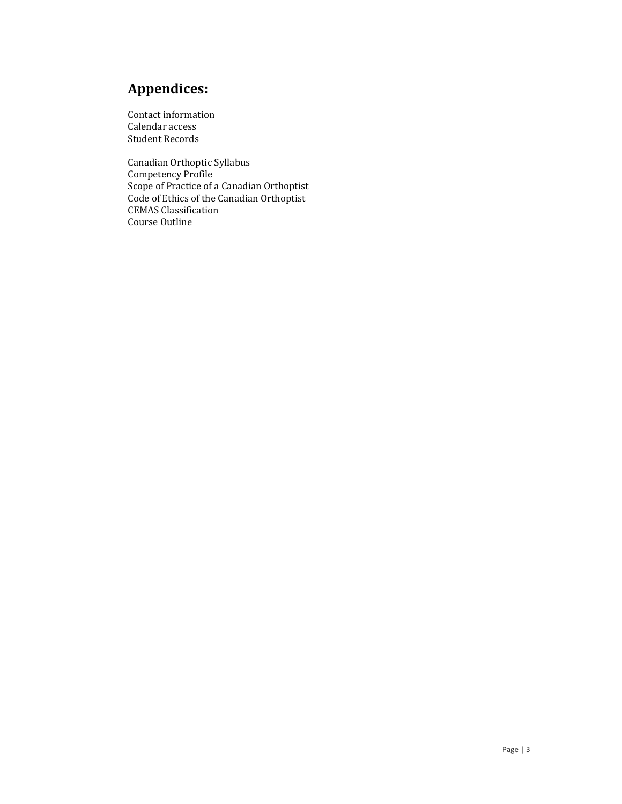# **Appendices:**

Contact information Calendar access Student Records

Canadian Orthoptic Syllabus Competency Profile Scope of Practice of a Canadian Orthoptist Code of Ethics of the Canadian Orthoptist CEMAS Classification Course Outline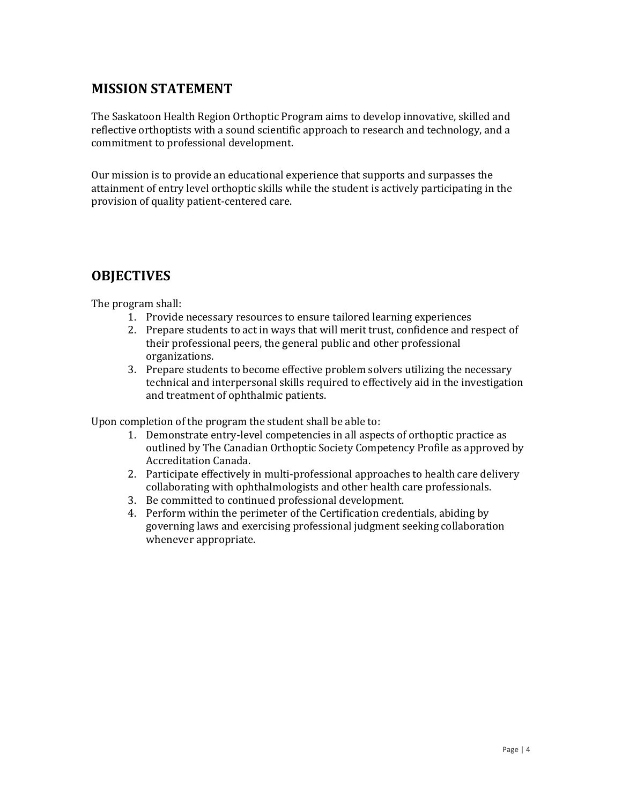#### **MISSION STATEMENT**

The Saskatoon Health Region Orthoptic Program aims to develop innovative, skilled and reflective orthoptists with a sound scientific approach to research and technology, and a commitment to professional development.

Our mission is to provide an educational experience that supports and surpasses the attainment of entry level orthoptic skills while the student is actively participating in the provision of quality patient-centered care.

#### **OBJECTIVES**

The program shall:

- 1. Provide necessary resources to ensure tailored learning experiences
- 2. Prepare students to act in ways that will merit trust, confidence and respect of their professional peers, the general public and other professional organizations.
- 3. Prepare students to become effective problem solvers utilizing the necessary technical and interpersonal skills required to effectively aid in the investigation and treatment of ophthalmic patients.

Upon completion of the program the student shall be able to:

- 1. Demonstrate entry-level competencies in all aspects of orthoptic practice as outlined by The Canadian Orthoptic Society Competency Profile as approved by Accreditation Canada.
- 2. Participate effectively in multi-professional approaches to health care delivery collaborating with ophthalmologists and other health care professionals.
- 3. Be committed to continued professional development.
- 4. Perform within the perimeter of the Certification credentials, abiding by governing laws and exercising professional judgment seeking collaboration whenever appropriate.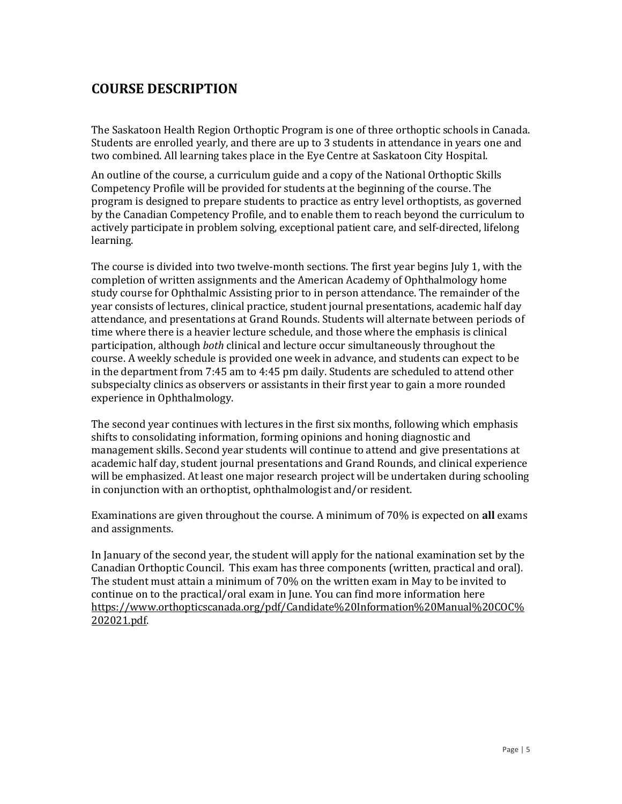### **COURSE DESCRIPTION**

The Saskatoon Health Region Orthoptic Program is one of three orthoptic schools in Canada. Students are enrolled yearly, and there are up to 3 students in attendance in years one and two combined. All learning takes place in the Eye Centre at Saskatoon City Hospital.

An outline of the course, a curriculum guide and a copy of the National Orthoptic Skills Competency Profile will be provided for students at the beginning of the course. The program is designed to prepare students to practice as entry level orthoptists, as governed by the Canadian Competency Profile, and to enable them to reach beyond the curriculum to actively participate in problem solving, exceptional patient care, and self-directed, lifelong learning.

The course is divided into two twelve-month sections. The first year begins July 1, with the completion of written assignments and the American Academy of Ophthalmology home study course for Ophthalmic Assisting prior to in person attendance. The remainder of the year consists of lectures, clinical practice, student journal presentations, academic half day attendance, and presentations at Grand Rounds. Students will alternate between periods of time where there is a heavier lecture schedule, and those where the emphasis is clinical participation, although *both* clinical and lecture occur simultaneously throughout the course. A weekly schedule is provided one week in advance, and students can expect to be in the department from 7:45 am to 4:45 pm daily. Students are scheduled to attend other subspecialty clinics as observers or assistants in their first year to gain a more rounded experience in Ophthalmology.

The second year continues with lectures in the first six months, following which emphasis shifts to consolidating information, forming opinions and honing diagnostic and management skills. Second year students will continue to attend and give presentations at academic half day, student journal presentations and Grand Rounds, and clinical experience will be emphasized. At least one major research project will be undertaken during schooling in conjunction with an orthoptist, ophthalmologist and/or resident.

Examinations are given throughout the course. A minimum of 70% is expected on **all** exams and assignments.

In January of the second year, the student will apply for the national examination set by the Canadian Orthoptic Council. This exam has three components (written, practical and oral). The student must attain a minimum of 70% on the written exam in May to be invited to continue on to the practical/oral exam in June. You can find more information here [https://www.orthopticscanada.org/pdf/Candidate%20Information%20Manual%20COC%](https://www.orthopticscanada.org/pdf/Candidate%20Information%20Manual%20COC%202021.pdf) [202021.pdf.](https://www.orthopticscanada.org/pdf/Candidate%20Information%20Manual%20COC%202021.pdf)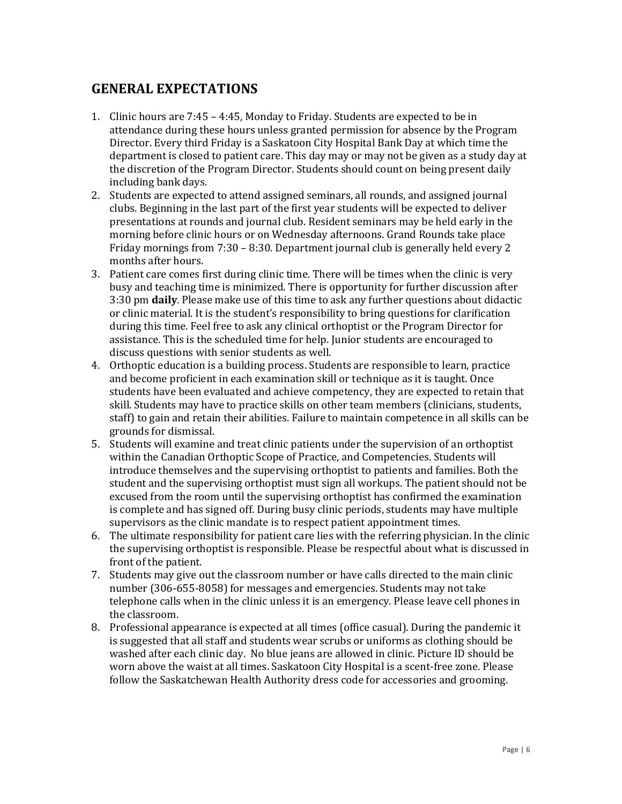#### **GENERAL EXPECTATIONS**

- 1. Clinic hours are 7:45 4:45, Monday to Friday. Students are expected to be in attendance during these hours unless granted permission for absence by the Program Director. Every third Friday is a Saskatoon City Hospital Bank Day at which time the department is closed to patient care. This day may or may not be given as a study day at the discretion of the Program Director. Students should count on being present daily including bank days.
- 2. Students are expected to attend assigned seminars, all rounds, and assigned journal clubs. Beginning in the last part of the first year students will be expected to deliver presentations at rounds and journal club. Resident seminars may be held early in the morning before clinic hours or on Wednesday afternoons. Grand Rounds take place Friday mornings from 7:30 – 8:30. Department journal club is generally held every 2 months after hours.
- 3. Patient care comes first during clinic time. There will be times when the clinic is very busy and teaching time is minimized. There is opportunity for further discussion after 3:30 pm **daily**. Please make use of this time to ask any further questions about didactic or clinic material. It is the student's responsibility to bring questions for clarification during this time. Feel free to ask any clinical orthoptist or the Program Director for assistance. This is the scheduled time for help. Junior students are encouraged to discuss questions with senior students as well.
- 4. Orthoptic education is a building process. Students are responsible to learn, practice and become proficient in each examination skill or technique as it is taught. Once students have been evaluated and achieve competency, they are expected to retain that skill. Students may have to practice skills on other team members (clinicians, students, staff) to gain and retain their abilities. Failure to maintain competence in all skills can be grounds for dismissal.
- 5. Students will examine and treat clinic patients under the supervision of an orthoptist within the Canadian Orthoptic Scope of Practice, and Competencies. Students will introduce themselves and the supervising orthoptist to patients and families. Both the student and the supervising orthoptist must sign all workups. The patient should not be excused from the room until the supervising orthoptist has confirmed the examination is complete and has signed off. During busy clinic periods, students may have multiple supervisors as the clinic mandate is to respect patient appointment times.
- 6. The ultimate responsibility for patient care lies with the referring physician. In the clinic the supervising orthoptist is responsible. Please be respectful about what is discussed in front of the patient.
- 7. Students may give out the classroom number or have calls directed to the main clinic number (306-655-8058) for messages and emergencies. Students may not take telephone calls when in the clinic unless it is an emergency. Please leave cell phones in the classroom.
- 8. Professional appearance is expected at all times (office casual). During the pandemic it is suggested that all staff and students wear scrubs or uniforms as clothing should be washed after each clinic day. No blue jeans are allowed in clinic. Picture ID should be worn above the waist at all times. Saskatoon City Hospital is a scent-free zone. Please follow the Saskatchewan Health Authority dress code for accessories and grooming.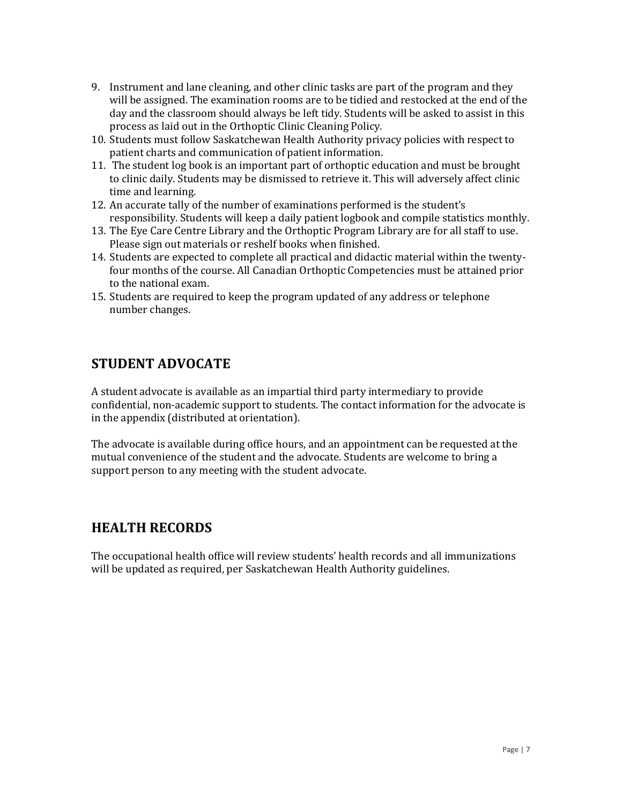- 9. Instrument and lane cleaning, and other clinic tasks are part of the program and they will be assigned. The examination rooms are to be tidied and restocked at the end of the day and the classroom should always be left tidy. Students will be asked to assist in this process as laid out in the Orthoptic Clinic Cleaning Policy.
- 10. Students must follow Saskatchewan Health Authority privacy policies with respect to patient charts and communication of patient information.
- 11. The student log book is an important part of orthoptic education and must be brought to clinic daily. Students may be dismissed to retrieve it. This will adversely affect clinic time and learning.
- 12. An accurate tally of the number of examinations performed is the student's responsibility. Students will keep a daily patient logbook and compile statistics monthly.
- 13. The Eye Care Centre Library and the Orthoptic Program Library are for all staff to use. Please sign out materials or reshelf books when finished.
- 14. Students are expected to complete all practical and didactic material within the twentyfour months of the course. All Canadian Orthoptic Competencies must be attained prior to the national exam.
- 15. Students are required to keep the program updated of any address or telephone number changes.

## **STUDENT ADVOCATE**

A student advocate is available as an impartial third party intermediary to provide confidential, non-academic support to students. The contact information for the advocate is in the appendix (distributed at orientation).

The advocate is available during office hours, and an appointment can be requested at the mutual convenience of the student and the advocate. Students are welcome to bring a support person to any meeting with the student advocate.

#### **HEALTH RECORDS**

The occupational health office will review students' health records and all immunizations will be updated as required, per Saskatchewan Health Authority guidelines.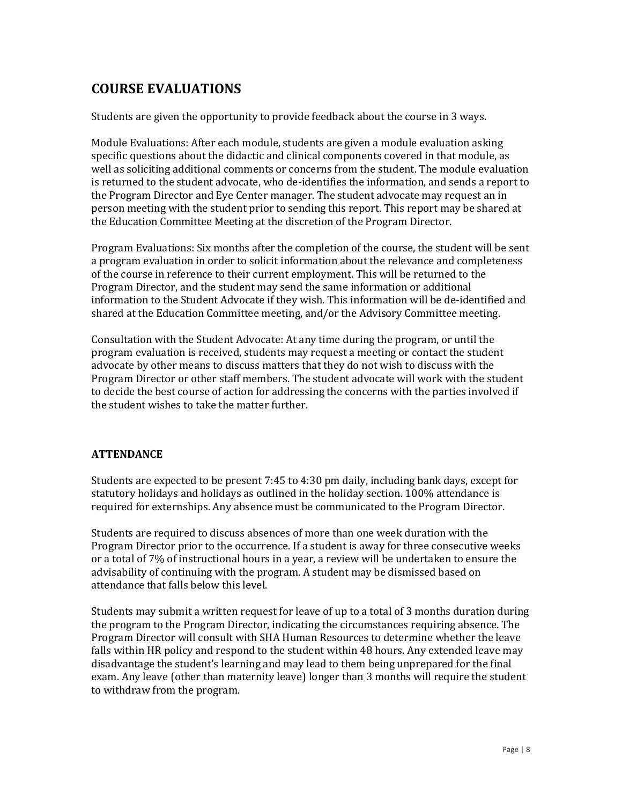## **COURSE EVALUATIONS**

Students are given the opportunity to provide feedback about the course in 3 ways.

Module Evaluations: After each module, students are given a module evaluation asking specific questions about the didactic and clinical components covered in that module, as well as soliciting additional comments or concerns from the student. The module evaluation is returned to the student advocate, who de-identifies the information, and sends a report to the Program Director and Eye Center manager. The student advocate may request an in person meeting with the student prior to sending this report. This report may be shared at the Education Committee Meeting at the discretion of the Program Director.

Program Evaluations: Six months after the completion of the course, the student will be sent a program evaluation in order to solicit information about the relevance and completeness of the course in reference to their current employment. This will be returned to the Program Director, and the student may send the same information or additional information to the Student Advocate if they wish. This information will be de-identified and shared at the Education Committee meeting, and/or the Advisory Committee meeting.

Consultation with the Student Advocate: At any time during the program, or until the program evaluation is received, students may request a meeting or contact the student advocate by other means to discuss matters that they do not wish to discuss with the Program Director or other staff members. The student advocate will work with the student to decide the best course of action for addressing the concerns with the parties involved if the student wishes to take the matter further.

#### **ATTENDANCE**

Students are expected to be present 7:45 to 4:30 pm daily, including bank days, except for statutory holidays and holidays as outlined in the holiday section. 100% attendance is required for externships. Any absence must be communicated to the Program Director.

Students are required to discuss absences of more than one week duration with the Program Director prior to the occurrence. If a student is away for three consecutive weeks or a total of 7% of instructional hours in a year, a review will be undertaken to ensure the advisability of continuing with the program. A student may be dismissed based on attendance that falls below this level.

Students may submit a written request for leave of up to a total of 3 months duration during the program to the Program Director, indicating the circumstances requiring absence. The Program Director will consult with SHA Human Resources to determine whether the leave falls within HR policy and respond to the student within 48 hours. Any extended leave may disadvantage the student's learning and may lead to them being unprepared for the final exam. Any leave (other than maternity leave) longer than 3 months will require the student to withdraw from the program.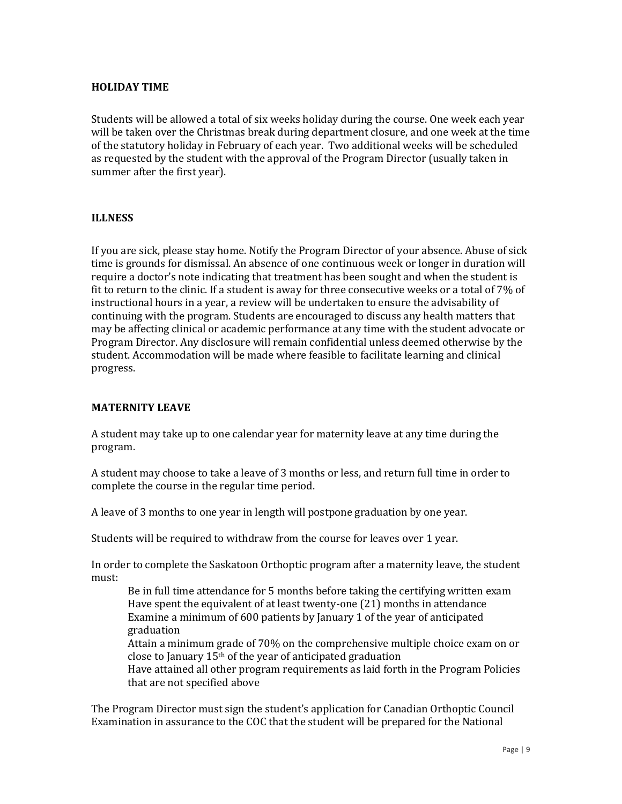#### **HOLIDAY TIME**

Students will be allowed a total of six weeks holiday during the course. One week each year will be taken over the Christmas break during department closure, and one week at the time of the statutory holiday in February of each year. Two additional weeks will be scheduled as requested by the student with the approval of the Program Director (usually taken in summer after the first year).

#### **ILLNESS**

If you are sick, please stay home. Notify the Program Director of your absence. Abuse of sick time is grounds for dismissal. An absence of one continuous week or longer in duration will require a doctor's note indicating that treatment has been sought and when the student is fit to return to the clinic. If a student is away for three consecutive weeks or a total of 7% of instructional hours in a year, a review will be undertaken to ensure the advisability of continuing with the program. Students are encouraged to discuss any health matters that may be affecting clinical or academic performance at any time with the student advocate or Program Director. Any disclosure will remain confidential unless deemed otherwise by the student. Accommodation will be made where feasible to facilitate learning and clinical progress.

#### **MATERNITY LEAVE**

A student may take up to one calendar year for maternity leave at any time during the program.

A student may choose to take a leave of 3 months or less, and return full time in order to complete the course in the regular time period.

A leave of 3 months to one year in length will postpone graduation by one year.

Students will be required to withdraw from the course for leaves over 1 year.

In order to complete the Saskatoon Orthoptic program after a maternity leave, the student must:

Be in full time attendance for 5 months before taking the certifying written exam Have spent the equivalent of at least twenty-one (21) months in attendance Examine a minimum of 600 patients by January 1 of the year of anticipated graduation

Attain a minimum grade of 70% on the comprehensive multiple choice exam on or close to January 15th of the year of anticipated graduation

Have attained all other program requirements as laid forth in the Program Policies that are not specified above

The Program Director must sign the student's application for Canadian Orthoptic Council Examination in assurance to the COC that the student will be prepared for the National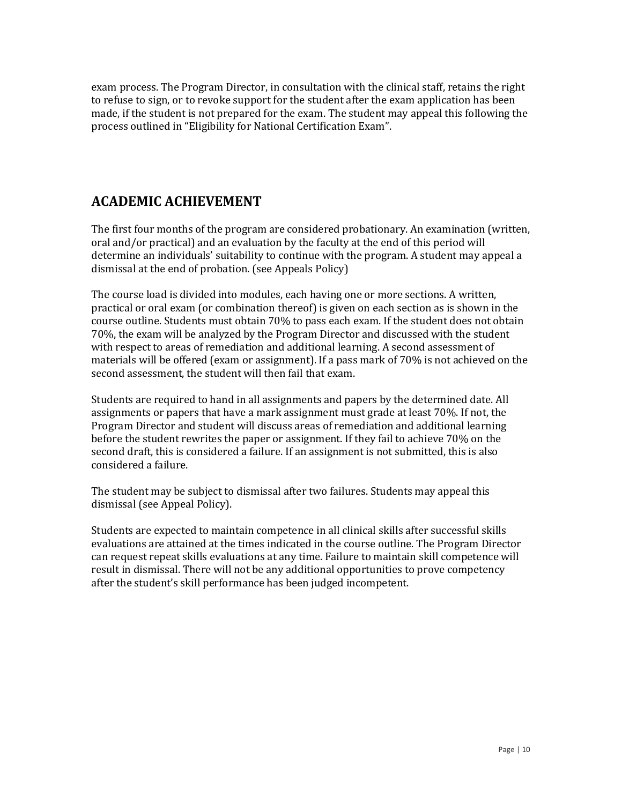exam process. The Program Director, in consultation with the clinical staff, retains the right to refuse to sign, or to revoke support for the student after the exam application has been made, if the student is not prepared for the exam. The student may appeal this following the process outlined in "Eligibility for National Certification Exam".

### **ACADEMIC ACHIEVEMENT**

The first four months of the program are considered probationary. An examination (written, oral and/or practical) and an evaluation by the faculty at the end of this period will determine an individuals' suitability to continue with the program. A student may appeal a dismissal at the end of probation. (see Appeals Policy)

The course load is divided into modules, each having one or more sections. A written, practical or oral exam (or combination thereof) is given on each section as is shown in the course outline. Students must obtain 70% to pass each exam. If the student does not obtain 70%, the exam will be analyzed by the Program Director and discussed with the student with respect to areas of remediation and additional learning. A second assessment of materials will be offered (exam or assignment). If a pass mark of 70% is not achieved on the second assessment, the student will then fail that exam.

Students are required to hand in all assignments and papers by the determined date. All assignments or papers that have a mark assignment must grade at least 70%. If not, the Program Director and student will discuss areas of remediation and additional learning before the student rewrites the paper or assignment. If they fail to achieve 70% on the second draft, this is considered a failure. If an assignment is not submitted, this is also considered a failure.

The student may be subject to dismissal after two failures. Students may appeal this dismissal (see Appeal Policy).

Students are expected to maintain competence in all clinical skills after successful skills evaluations are attained at the times indicated in the course outline. The Program Director can request repeat skills evaluations at any time. Failure to maintain skill competence will result in dismissal. There will not be any additional opportunities to prove competency after the student's skill performance has been judged incompetent.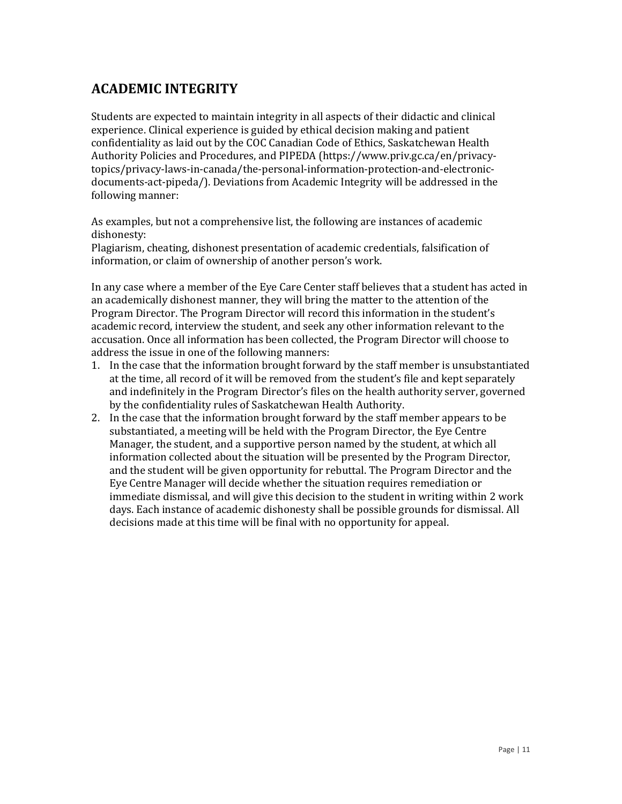## **ACADEMIC INTEGRITY**

Students are expected to maintain integrity in all aspects of their didactic and clinical experience. Clinical experience is guided by ethical decision making and patient confidentiality as laid out by the COC Canadian Code of Ethics, Saskatchewan Health Authority Policies and Procedures, and PIPEDA (https://www.priv.gc.ca/en/privacytopics/privacy-laws-in-canada/the-personal-information-protection-and-electronicdocuments-act-pipeda/). Deviations from Academic Integrity will be addressed in the following manner:

As examples, but not a comprehensive list, the following are instances of academic dishonesty:

Plagiarism, cheating, dishonest presentation of academic credentials, falsification of information, or claim of ownership of another person's work.

In any case where a member of the Eye Care Center staff believes that a student has acted in an academically dishonest manner, they will bring the matter to the attention of the Program Director. The Program Director will record this information in the student's academic record, interview the student, and seek any other information relevant to the accusation. Once all information has been collected, the Program Director will choose to address the issue in one of the following manners:

- 1. In the case that the information brought forward by the staff member is unsubstantiated at the time, all record of it will be removed from the student's file and kept separately and indefinitely in the Program Director's files on the health authority server, governed by the confidentiality rules of Saskatchewan Health Authority.
- 2. In the case that the information brought forward by the staff member appears to be substantiated, a meeting will be held with the Program Director, the Eye Centre Manager, the student, and a supportive person named by the student, at which all information collected about the situation will be presented by the Program Director, and the student will be given opportunity for rebuttal. The Program Director and the Eye Centre Manager will decide whether the situation requires remediation or immediate dismissal, and will give this decision to the student in writing within 2 work days. Each instance of academic dishonesty shall be possible grounds for dismissal. All decisions made at this time will be final with no opportunity for appeal.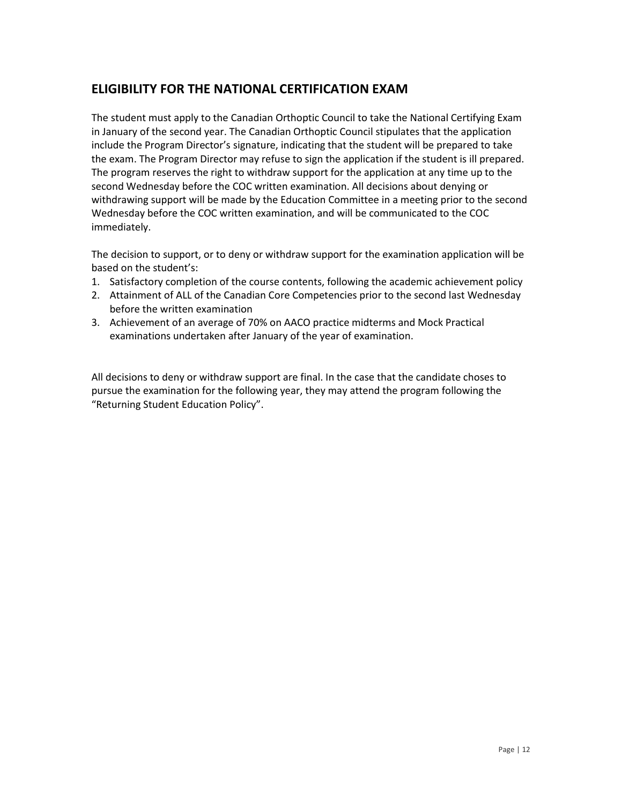#### **ELIGIBILITY FOR THE NATIONAL CERTIFICATION EXAM**

The student must apply to the Canadian Orthoptic Council to take the National Certifying Exam in January of the second year. The Canadian Orthoptic Council stipulates that the application include the Program Director's signature, indicating that the student will be prepared to take the exam. The Program Director may refuse to sign the application if the student is ill prepared. The program reserves the right to withdraw support for the application at any time up to the second Wednesday before the COC written examination. All decisions about denying or withdrawing support will be made by the Education Committee in a meeting prior to the second Wednesday before the COC written examination, and will be communicated to the COC immediately.

The decision to support, or to deny or withdraw support for the examination application will be based on the student's:

- 1. Satisfactory completion of the course contents, following the academic achievement policy
- 2. Attainment of ALL of the Canadian Core Competencies prior to the second last Wednesday before the written examination
- 3. Achievement of an average of 70% on AACO practice midterms and Mock Practical examinations undertaken after January of the year of examination.

All decisions to deny or withdraw support are final. In the case that the candidate choses to pursue the examination for the following year, they may attend the program following the "Returning Student Education Policy".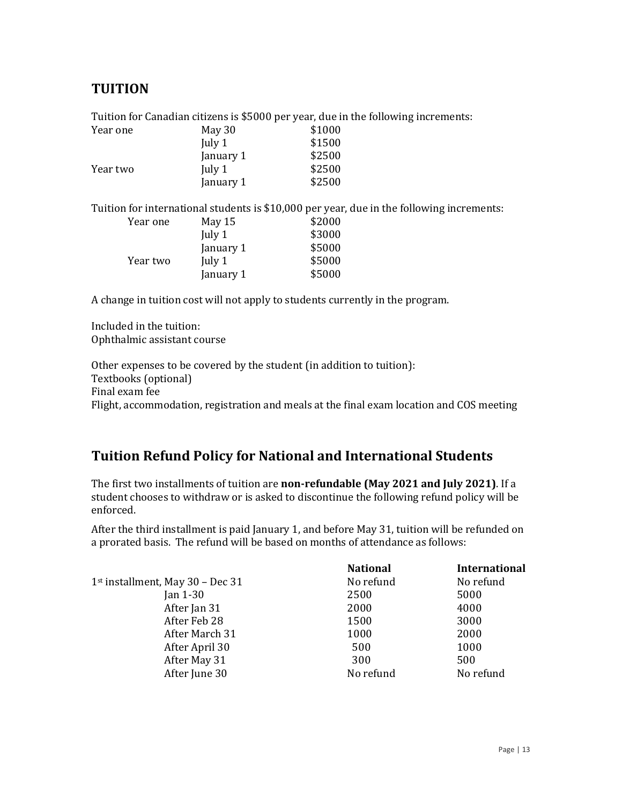#### **TUITION**

Tuition for Canadian citizens is \$5000 per year, due in the following increments:

| Year one | May 30    | \$1000 |
|----------|-----------|--------|
|          | July 1    | \$1500 |
|          | January 1 | \$2500 |
| Year two | July 1    | \$2500 |
|          | January 1 | \$2500 |

Tuition for international students is \$10,000 per year, due in the following increments:

| Year one | May 15    | \$2000 |
|----------|-----------|--------|
|          | July $1$  | \$3000 |
|          | January 1 | \$5000 |
| Year two | July 1    | \$5000 |
|          | January 1 | \$5000 |
|          |           |        |

A change in tuition cost will not apply to students currently in the program.

Included in the tuition: Ophthalmic assistant course

Other expenses to be covered by the student (in addition to tuition): Textbooks (optional) Final exam fee Flight, accommodation, registration and meals at the final exam location and COS meeting

## **Tuition Refund Policy for National and International Students**

The first two installments of tuition are **non-refundable (May 2021 and July 2021)**. If a student chooses to withdraw or is asked to discontinue the following refund policy will be enforced.

After the third installment is paid January 1, and before May 31, tuition will be refunded on a prorated basis. The refund will be based on months of attendance as follows:

|                                              | <b>National</b> | <b>International</b> |
|----------------------------------------------|-----------------|----------------------|
| 1 <sup>st</sup> installment, May 30 - Dec 31 | No refund       | No refund            |
| Jan $1-30$                                   | 2500            | 5000                 |
| After Jan 31                                 | 2000            | 4000                 |
| After Feb 28                                 | 1500            | 3000                 |
| After March 31                               | 1000            | 2000                 |
| After April 30                               | 500             | 1000                 |
| After May 31                                 | 300             | 500                  |
| After June 30                                | No refund       | No refund            |
|                                              |                 |                      |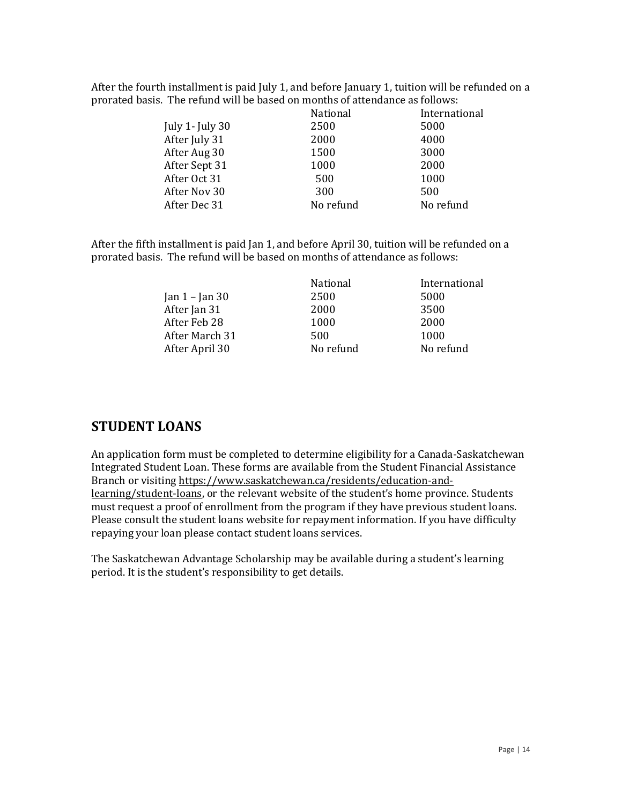After the fourth installment is paid July 1, and before January 1, tuition will be refunded on a prorated basis. The refund will be based on months of attendance as follows:

|                   | <b>National</b> | International |
|-------------------|-----------------|---------------|
| July 1- July $30$ | 2500            | 5000          |
| After July 31     | 2000            | 4000          |
| After Aug 30      | 1500            | 3000          |
| After Sept 31     | 1000            | 2000          |
| After Oct 31      | 500             | 1000          |
| After Nov 30      | 300             | 500           |
| After Dec 31      | No refund       | No refund     |

After the fifth installment is paid Jan 1, and before April 30, tuition will be refunded on a prorated basis. The refund will be based on months of attendance as follows:

|                    | <b>National</b> | International |
|--------------------|-----------------|---------------|
| Jan $1 -$ Jan $30$ | 2500            | 5000          |
| After Jan 31       | 2000            | 3500          |
| After Feb 28       | 1000            | 2000          |
| After March 31     | 500             | 1000          |
| After April 30     | No refund       | No refund     |

#### **STUDENT LOANS**

An application form must be completed to determine eligibility for a Canada-Saskatchewan Integrated Student Loan. These forms are available from the Student Financial Assistance Branch or visiting [https://www.saskatchewan.ca/residents/education-and](https://www.saskatchewan.ca/residents/education-and-learning/student-loans)[learning/student-loans](https://www.saskatchewan.ca/residents/education-and-learning/student-loans), or the relevant website of the student's home province. Students must request a proof of enrollment from the program if they have previous student loans. Please consult the student loans website for repayment information. If you have difficulty repaying your loan please contact student loans services.

The Saskatchewan Advantage Scholarship may be available during a student's learning period. It is the student's responsibility to get details.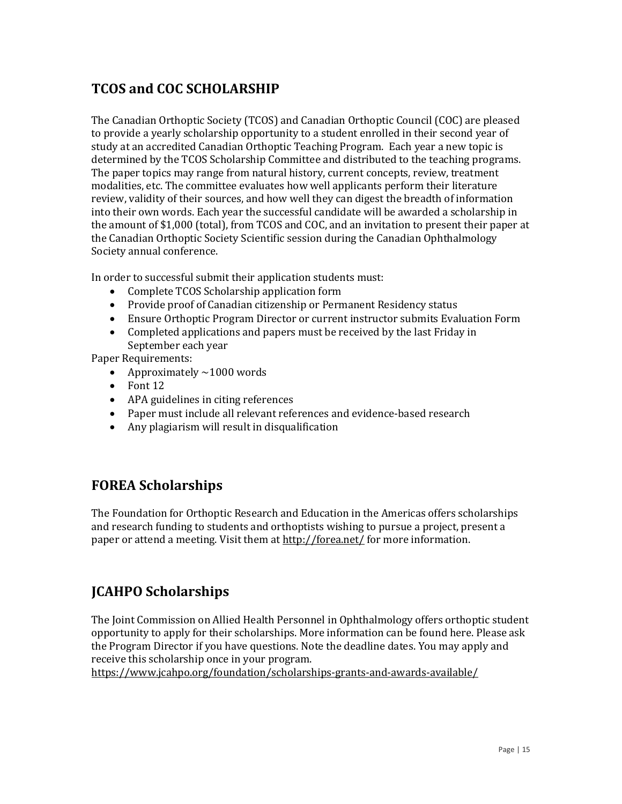## **TCOS and COC SCHOLARSHIP**

The Canadian Orthoptic Society (TCOS) and Canadian Orthoptic Council (COC) are pleased to provide a yearly scholarship opportunity to a student enrolled in their second year of study at an accredited Canadian Orthoptic Teaching Program. Each year a new topic is determined by the TCOS Scholarship Committee and distributed to the teaching programs. The paper topics may range from natural history, current concepts, review, treatment modalities, etc. The committee evaluates how well applicants perform their literature review, validity of their sources, and how well they can digest the breadth of information into their own words. Each year the successful candidate will be awarded a scholarship in the amount of \$1,000 (total), from TCOS and COC, and an invitation to present their paper at the Canadian Orthoptic Society Scientific session during the Canadian Ophthalmology Society annual conference.

In order to successful submit their application students must:

- Complete TCOS Scholarship application form
- Provide proof of Canadian citizenship or Permanent Residency status
- Ensure Orthoptic Program Director or current instructor submits Evaluation Form
- Completed applications and papers must be received by the last Friday in September each year

Paper Requirements:

- Approximately  $\sim$  1000 words
- Font 12
- APA guidelines in citing references
- Paper must include all relevant references and evidence-based research
- Any plagiarism will result in disqualification

#### **FOREA Scholarships**

The Foundation for Orthoptic Research and Education in the Americas offers scholarships and research funding to students and orthoptists wishing to pursue a project, present a paper or attend a meeting. Visit them at<http://forea.net/> for more information.

## **JCAHPO Scholarships**

The Joint Commission on Allied Health Personnel in Ophthalmology offers orthoptic student opportunity to apply for their scholarships. More information can be found here. Please ask the Program Director if you have questions. Note the deadline dates. You may apply and receive this scholarship once in your program.

<https://www.jcahpo.org/foundation/scholarships-grants-and-awards-available/>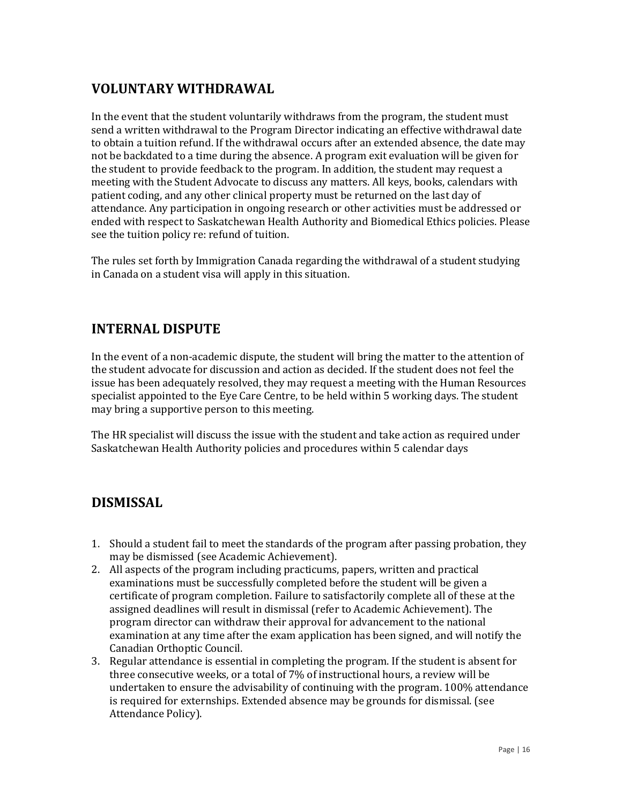## **VOLUNTARY WITHDRAWAL**

In the event that the student voluntarily withdraws from the program, the student must send a written withdrawal to the Program Director indicating an effective withdrawal date to obtain a tuition refund. If the withdrawal occurs after an extended absence, the date may not be backdated to a time during the absence. A program exit evaluation will be given for the student to provide feedback to the program. In addition, the student may request a meeting with the Student Advocate to discuss any matters. All keys, books, calendars with patient coding, and any other clinical property must be returned on the last day of attendance. Any participation in ongoing research or other activities must be addressed or ended with respect to Saskatchewan Health Authority and Biomedical Ethics policies. Please see the tuition policy re: refund of tuition.

The rules set forth by Immigration Canada regarding the withdrawal of a student studying in Canada on a student visa will apply in this situation.

### **INTERNAL DISPUTE**

In the event of a non-academic dispute, the student will bring the matter to the attention of the student advocate for discussion and action as decided. If the student does not feel the issue has been adequately resolved, they may request a meeting with the Human Resources specialist appointed to the Eye Care Centre, to be held within 5 working days. The student may bring a supportive person to this meeting.

The HR specialist will discuss the issue with the student and take action as required under Saskatchewan Health Authority policies and procedures within 5 calendar days

#### **DISMISSAL**

- 1. Should a student fail to meet the standards of the program after passing probation, they may be dismissed (see Academic Achievement).
- 2. All aspects of the program including practicums, papers, written and practical examinations must be successfully completed before the student will be given a certificate of program completion. Failure to satisfactorily complete all of these at the assigned deadlines will result in dismissal (refer to Academic Achievement). The program director can withdraw their approval for advancement to the national examination at any time after the exam application has been signed, and will notify the Canadian Orthoptic Council.
- 3. Regular attendance is essential in completing the program. If the student is absent for three consecutive weeks, or a total of 7% of instructional hours, a review will be undertaken to ensure the advisability of continuing with the program. 100% attendance is required for externships. Extended absence may be grounds for dismissal. (see Attendance Policy).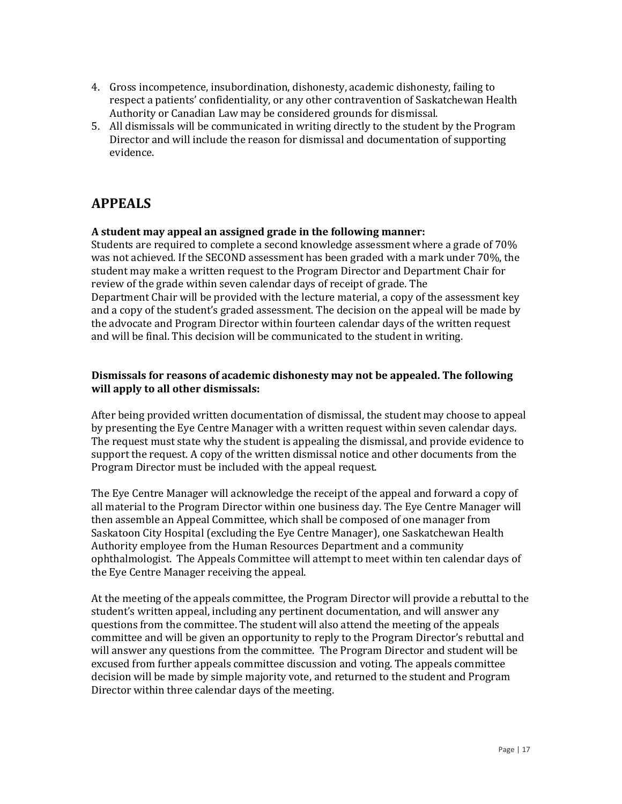- 4. Gross incompetence, insubordination, dishonesty, academic dishonesty, failing to respect a patients' confidentiality, or any other contravention of Saskatchewan Health Authority or Canadian Law may be considered grounds for dismissal.
- 5. All dismissals will be communicated in writing directly to the student by the Program Director and will include the reason for dismissal and documentation of supporting evidence.

## **APPEALS**

#### **A student may appeal an assigned grade in the following manner:**

Students are required to complete a second knowledge assessment where a grade of 70% was not achieved. If the SECOND assessment has been graded with a mark under 70%, the student may make a written request to the Program Director and Department Chair for review of the grade within seven calendar days of receipt of grade. The Department Chair will be provided with the lecture material, a copy of the assessment key and a copy of the student's graded assessment. The decision on the appeal will be made by the advocate and Program Director within fourteen calendar days of the written request and will be final. This decision will be communicated to the student in writing.

#### **Dismissals for reasons of academic dishonesty may not be appealed. The following will apply to all other dismissals:**

After being provided written documentation of dismissal, the student may choose to appeal by presenting the Eye Centre Manager with a written request within seven calendar days. The request must state why the student is appealing the dismissal, and provide evidence to support the request. A copy of the written dismissal notice and other documents from the Program Director must be included with the appeal request.

The Eye Centre Manager will acknowledge the receipt of the appeal and forward a copy of all material to the Program Director within one business day. The Eye Centre Manager will then assemble an Appeal Committee, which shall be composed of one manager from Saskatoon City Hospital (excluding the Eye Centre Manager), one Saskatchewan Health Authority employee from the Human Resources Department and a community ophthalmologist. The Appeals Committee will attempt to meet within ten calendar days of the Eye Centre Manager receiving the appeal.

At the meeting of the appeals committee, the Program Director will provide a rebuttal to the student's written appeal, including any pertinent documentation, and will answer any questions from the committee. The student will also attend the meeting of the appeals committee and will be given an opportunity to reply to the Program Director's rebuttal and will answer any questions from the committee. The Program Director and student will be excused from further appeals committee discussion and voting. The appeals committee decision will be made by simple majority vote, and returned to the student and Program Director within three calendar days of the meeting.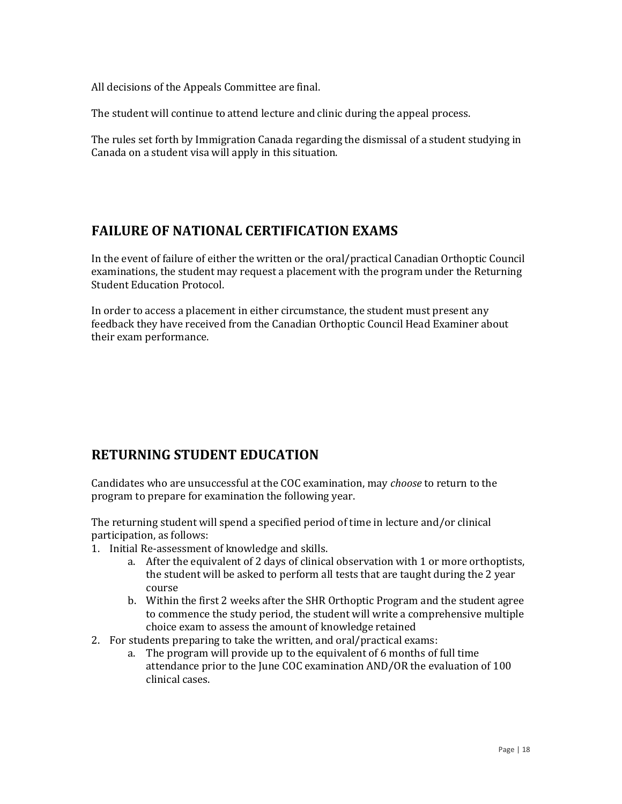All decisions of the Appeals Committee are final.

The student will continue to attend lecture and clinic during the appeal process.

The rules set forth by Immigration Canada regarding the dismissal of a student studying in Canada on a student visa will apply in this situation.

## **FAILURE OF NATIONAL CERTIFICATION EXAMS**

In the event of failure of either the written or the oral/practical Canadian Orthoptic Council examinations, the student may request a placement with the program under the Returning Student Education Protocol.

In order to access a placement in either circumstance, the student must present any feedback they have received from the Canadian Orthoptic Council Head Examiner about their exam performance.

## **RETURNING STUDENT EDUCATION**

Candidates who are unsuccessful at the COC examination, may *choose* to return to the program to prepare for examination the following year.

The returning student will spend a specified period of time in lecture and/or clinical participation, as follows:

- 1. Initial Re-assessment of knowledge and skills.
	- a. After the equivalent of 2 days of clinical observation with 1 or more orthoptists, the student will be asked to perform all tests that are taught during the 2 year course
	- b. Within the first 2 weeks after the SHR Orthoptic Program and the student agree to commence the study period, the student will write a comprehensive multiple choice exam to assess the amount of knowledge retained
- 2. For students preparing to take the written, and oral/practical exams:
	- a. The program will provide up to the equivalent of 6 months of full time attendance prior to the June COC examination AND/OR the evaluation of 100 clinical cases.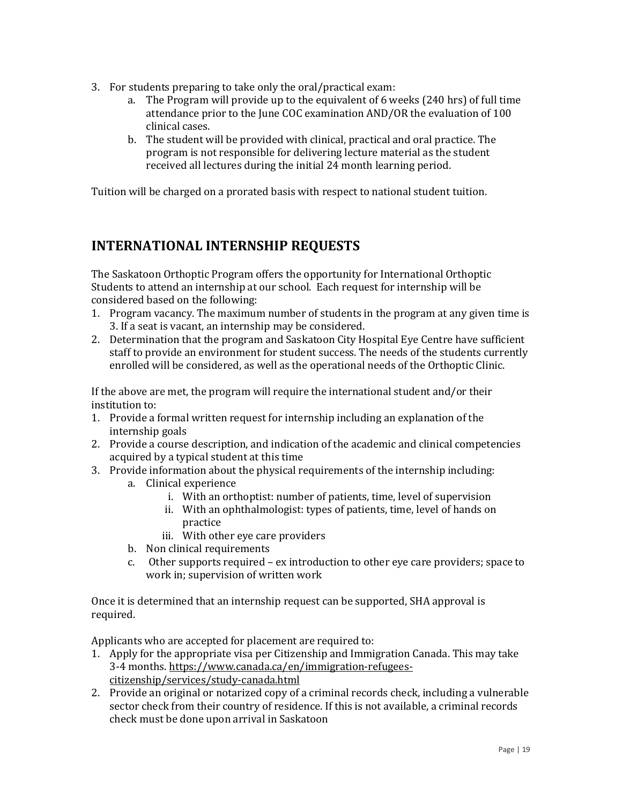- 3. For students preparing to take only the oral/practical exam:
	- a. The Program will provide up to the equivalent of 6 weeks (240 hrs) of full time attendance prior to the June COC examination AND/OR the evaluation of 100 clinical cases.
	- b. The student will be provided with clinical, practical and oral practice. The program is not responsible for delivering lecture material as the student received all lectures during the initial 24 month learning period.

Tuition will be charged on a prorated basis with respect to national student tuition.

### **INTERNATIONAL INTERNSHIP REQUESTS**

The Saskatoon Orthoptic Program offers the opportunity for International Orthoptic Students to attend an internship at our school. Each request for internship will be considered based on the following:

- 1. Program vacancy. The maximum number of students in the program at any given time is 3. If a seat is vacant, an internship may be considered.
- 2. Determination that the program and Saskatoon City Hospital Eye Centre have sufficient staff to provide an environment for student success. The needs of the students currently enrolled will be considered, as well as the operational needs of the Orthoptic Clinic.

If the above are met, the program will require the international student and/or their institution to:

- 1. Provide a formal written request for internship including an explanation of the internship goals
- 2. Provide a course description, and indication of the academic and clinical competencies acquired by a typical student at this time
- 3. Provide information about the physical requirements of the internship including: a. Clinical experience
	- i. With an orthoptist: number of patients, time, level of supervision
	- ii. With an ophthalmologist: types of patients, time, level of hands on practice
	- iii. With other eye care providers
	- b. Non clinical requirements
	- c. Other supports required ex introduction to other eye care providers; space to work in; supervision of written work

Once it is determined that an internship request can be supported, SHA approval is required.

Applicants who are accepted for placement are required to:

- 1. Apply for the appropriate visa per Citizenship and Immigration Canada. This may take 3-4 months. [https://www.canada.ca/en/immigration-refugees](https://www.canada.ca/en/immigration-refugees-citizenship/services/study-canada.html)[citizenship/services/study-canada.html](https://www.canada.ca/en/immigration-refugees-citizenship/services/study-canada.html)
- 2. Provide an original or notarized copy of a criminal records check, including a vulnerable sector check from their country of residence. If this is not available, a criminal records check must be done upon arrival in Saskatoon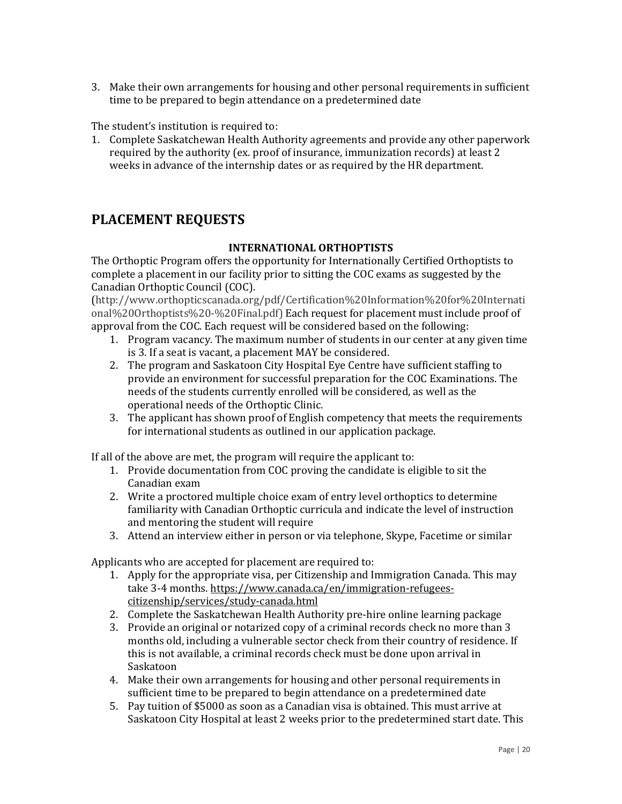3. Make their own arrangements for housing and other personal requirements in sufficient time to be prepared to begin attendance on a predetermined date

The student's institution is required to:

1. Complete Saskatchewan Health Authority agreements and provide any other paperwork required by the authority (ex. proof of insurance, immunization records) at least 2 weeks in advance of the internship dates or as required by the HR department.

#### **PLACEMENT REQUESTS**

#### **INTERNATIONAL ORTHOPTISTS**

The Orthoptic Program offers the opportunity for Internationally Certified Orthoptists to complete a placement in our facility prior to sitting the COC exams as suggested by the Canadian Orthoptic Council (COC).

(http://www.orthopticscanada.org/pdf/Certification%20Information%20for%20Internati onal%20Orthoptists%20-%20Final.pdf) Each request for placement must include proof of approval from the COC. Each request will be considered based on the following:

- 1. Program vacancy. The maximum number of students in our center at any given time is 3. If a seat is vacant, a placement MAY be considered.
- 2. The program and Saskatoon City Hospital Eye Centre have sufficient staffing to provide an environment for successful preparation for the COC Examinations. The needs of the students currently enrolled will be considered, as well as the operational needs of the Orthoptic Clinic.
- 3. The applicant has shown proof of English competency that meets the requirements for international students as outlined in our application package.

If all of the above are met, the program will require the applicant to:

- 1. Provide documentation from COC proving the candidate is eligible to sit the Canadian exam
- 2. Write a proctored multiple choice exam of entry level orthoptics to determine familiarity with Canadian Orthoptic curricula and indicate the level of instruction and mentoring the student will require
- 3. Attend an interview either in person or via telephone, Skype, Facetime or similar

Applicants who are accepted for placement are required to:

- 1. Apply for the appropriate visa, per Citizenship and Immigration Canada. This may take 3-4 months. [https://www.canada.ca/en/immigration-refugees](https://www.canada.ca/en/immigration-refugees-citizenship/services/study-canada.html)[citizenship/services/study-canada.html](https://www.canada.ca/en/immigration-refugees-citizenship/services/study-canada.html)
- 2. Complete the Saskatchewan Health Authority pre-hire online learning package
- 3. Provide an original or notarized copy of a criminal records check no more than 3 months old, including a vulnerable sector check from their country of residence. If this is not available, a criminal records check must be done upon arrival in Saskatoon
- 4. Make their own arrangements for housing and other personal requirements in sufficient time to be prepared to begin attendance on a predetermined date
- 5. Pay tuition of \$5000 as soon as a Canadian visa is obtained. This must arrive at Saskatoon City Hospital at least 2 weeks prior to the predetermined start date. This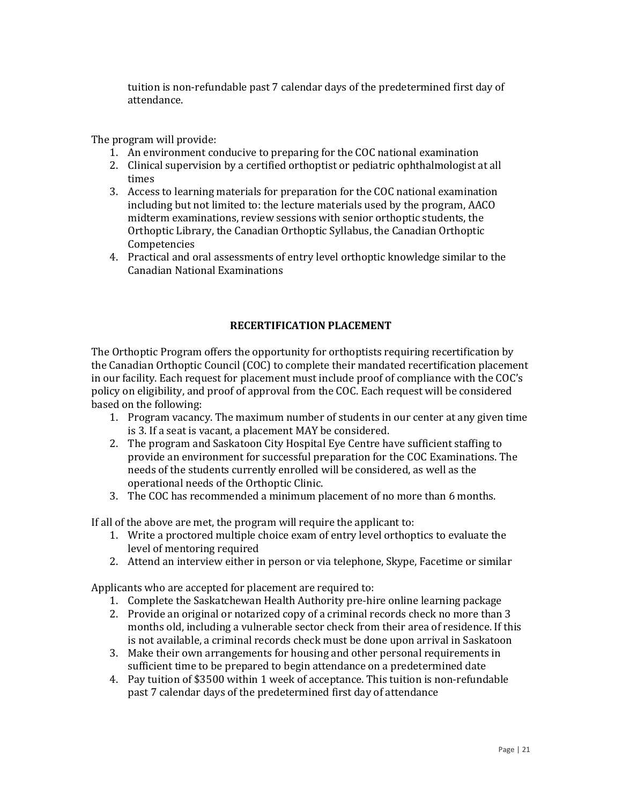tuition is non-refundable past 7 calendar days of the predetermined first day of attendance.

The program will provide:

- 1. An environment conducive to preparing for the COC national examination
- 2. Clinical supervision by a certified orthoptist or pediatric ophthalmologist at all times
- 3. Access to learning materials for preparation for the COC national examination including but not limited to: the lecture materials used by the program, AACO midterm examinations, review sessions with senior orthoptic students, the Orthoptic Library, the Canadian Orthoptic Syllabus, the Canadian Orthoptic Competencies
- 4. Practical and oral assessments of entry level orthoptic knowledge similar to the Canadian National Examinations

#### **RECERTIFICATION PLACEMENT**

The Orthoptic Program offers the opportunity for orthoptists requiring recertification by the Canadian Orthoptic Council (COC) to complete their mandated recertification placement in our facility. Each request for placement must include proof of compliance with the COC's policy on eligibility, and proof of approval from the COC. Each request will be considered based on the following:

- 1. Program vacancy. The maximum number of students in our center at any given time is 3. If a seat is vacant, a placement MAY be considered.
- 2. The program and Saskatoon City Hospital Eye Centre have sufficient staffing to provide an environment for successful preparation for the COC Examinations. The needs of the students currently enrolled will be considered, as well as the operational needs of the Orthoptic Clinic.
- 3. The COC has recommended a minimum placement of no more than 6 months.

If all of the above are met, the program will require the applicant to:

- 1. Write a proctored multiple choice exam of entry level orthoptics to evaluate the level of mentoring required
- 2. Attend an interview either in person or via telephone, Skype, Facetime or similar

Applicants who are accepted for placement are required to:

- 1. Complete the Saskatchewan Health Authority pre-hire online learning package
- 2. Provide an original or notarized copy of a criminal records check no more than 3 months old, including a vulnerable sector check from their area of residence. If this is not available, a criminal records check must be done upon arrival in Saskatoon
- 3. Make their own arrangements for housing and other personal requirements in sufficient time to be prepared to begin attendance on a predetermined date
- 4. Pay tuition of \$3500 within 1 week of acceptance. This tuition is non-refundable past 7 calendar days of the predetermined first day of attendance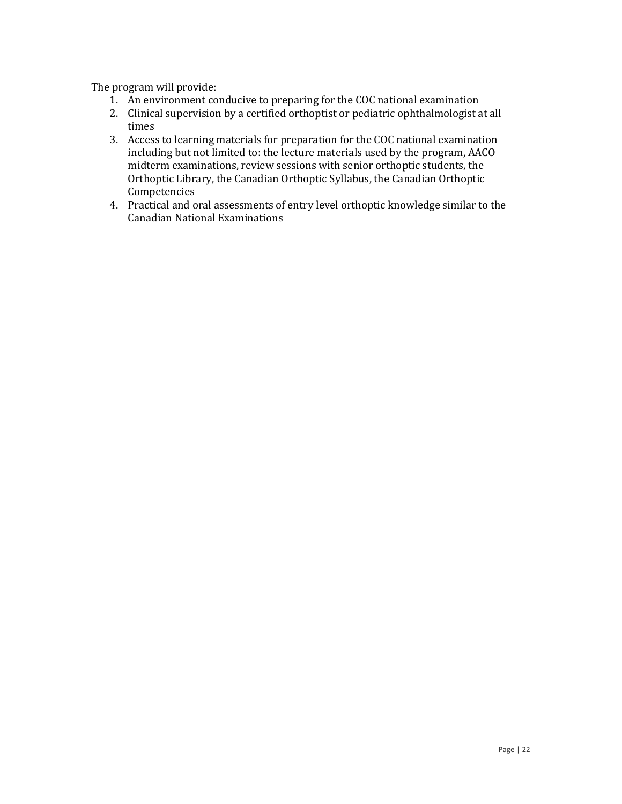The program will provide:

- 1. An environment conducive to preparing for the COC national examination
- 2. Clinical supervision by a certified orthoptist or pediatric ophthalmologist at all times
- 3. Access to learning materials for preparation for the COC national examination including but not limited to: the lecture materials used by the program, AACO midterm examinations, review sessions with senior orthoptic students, the Orthoptic Library, the Canadian Orthoptic Syllabus, the Canadian Orthoptic Competencies
- 4. Practical and oral assessments of entry level orthoptic knowledge similar to the Canadian National Examinations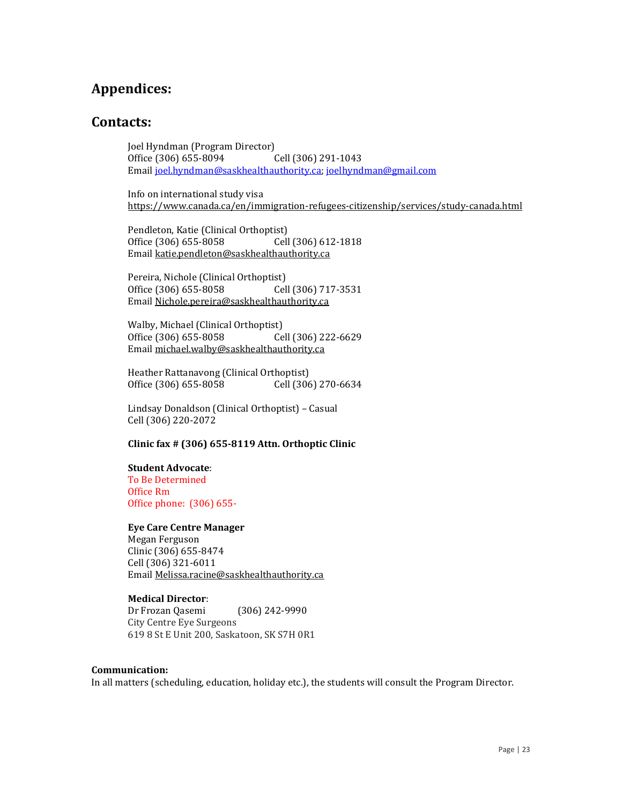#### **Appendices:**

#### **Contacts:**

Joel Hyndman (Program Director) Office (306) 655-8094 Cell (306) 291-1043 Emai[l joel.hyndman@saskhealthauthority.ca;](mailto:joel.hyndman@saskhealthauthority.ca) [joelhyndman@gmail.com](mailto:joelhyndman@gmail.com)

Info on international study visa <https://www.canada.ca/en/immigration-refugees-citizenship/services/study-canada.html>

Pendleton, Katie (Clinical Orthoptist) Office (306) 655-8058 Cell (306) 612-1818 Emai[l katie.pendleton@saskhealthauthority.ca](mailto:katie.pendleton@saskhealthauthority.ca)

Pereira, Nichole (Clinical Orthoptist) Office (306) 655-8058 Cell (306) 717-3531 Emai[l Nichole.pereira@saskhealthauthority.ca](mailto:Nichole.pereira@saskhealthauthority.ca)

Walby, Michael (Clinical Orthoptist) Office (306) 655-8058 Cell (306) 222-6629 Emai[l michael.walby@saskhealthauthority.ca](mailto:michael.walby@saskhealthauthority.ca)

Heather Rattanavong (Clinical Orthoptist) Office (306) 655-8058 Cell (306) 270-6634

Lindsay Donaldson (Clinical Orthoptist) – Casual Cell (306) 220-2072

#### **Clinic fax # (306) 655-8119 Attn. Orthoptic Clinic**

#### **Student Advocate**:

To Be Determined Office Rm Office phone: (306) 655-

#### **Eye Care Centre Manager**

Megan Ferguson Clinic (306) 655-8474 Cell (306) 321-6011 Emai[l Melissa.racine@saskhealthauthority.ca](mailto:Melissa.racine@saskhealthauthority.ca)

#### **Medical Director**:

Dr Frozan Qasemi (306) 242-9990 City Centre Eye Surgeons 619 8 St E Unit 200, Saskatoon, SK S7H 0R1

#### **Communication:**

In all matters (scheduling, education, holiday etc.), the students will consult the Program Director.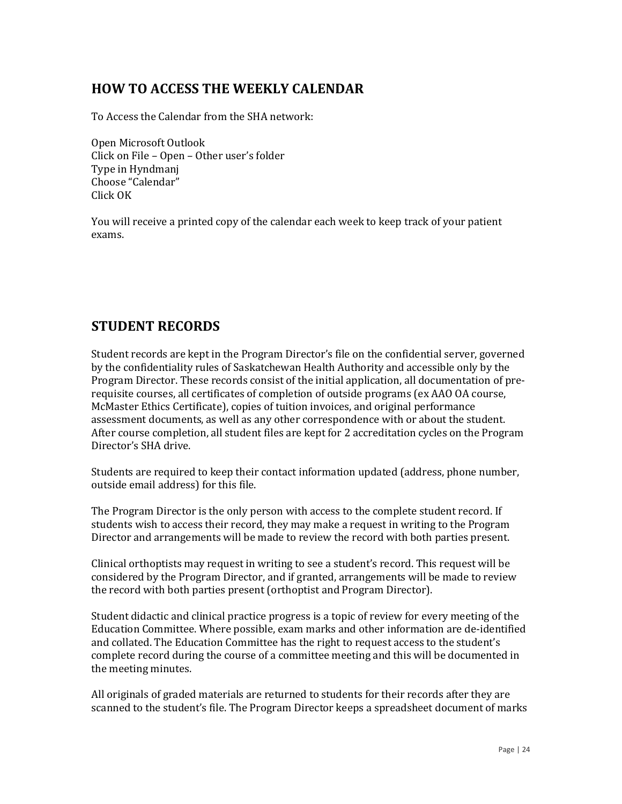### **HOW TO ACCESS THE WEEKLY CALENDAR**

To Access the Calendar from the SHA network:

Open Microsoft Outlook Click on File – Open – Other user's folder Type in Hyndmanj Choose "Calendar" Click OK

You will receive a printed copy of the calendar each week to keep track of your patient exams.

#### **STUDENT RECORDS**

Student records are kept in the Program Director's file on the confidential server, governed by the confidentiality rules of Saskatchewan Health Authority and accessible only by the Program Director. These records consist of the initial application, all documentation of prerequisite courses, all certificates of completion of outside programs (ex AAO OA course, McMaster Ethics Certificate), copies of tuition invoices, and original performance assessment documents, as well as any other correspondence with or about the student. After course completion, all student files are kept for 2 accreditation cycles on the Program Director's SHA drive.

Students are required to keep their contact information updated (address, phone number, outside email address) for this file.

The Program Director is the only person with access to the complete student record. If students wish to access their record, they may make a request in writing to the Program Director and arrangements will be made to review the record with both parties present.

Clinical orthoptists may request in writing to see a student's record. This request will be considered by the Program Director, and if granted, arrangements will be made to review the record with both parties present (orthoptist and Program Director).

Student didactic and clinical practice progress is a topic of review for every meeting of the Education Committee. Where possible, exam marks and other information are de-identified and collated. The Education Committee has the right to request access to the student's complete record during the course of a committee meeting and this will be documented in the meeting minutes.

All originals of graded materials are returned to students for their records after they are scanned to the student's file. The Program Director keeps a spreadsheet document of marks